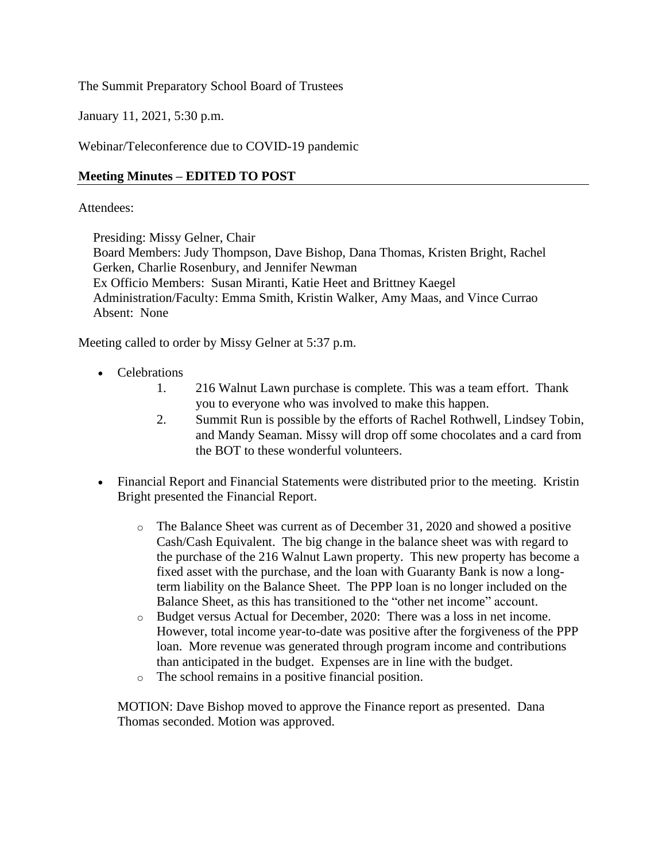The Summit Preparatory School Board of Trustees

January 11, 2021, 5:30 p.m.

Webinar/Teleconference due to COVID-19 pandemic

# **Meeting Minutes – EDITED TO POST**

## Attendees:

Presiding: Missy Gelner, Chair

Board Members: Judy Thompson, Dave Bishop, Dana Thomas, Kristen Bright, Rachel Gerken, Charlie Rosenbury, and Jennifer Newman Ex Officio Members: Susan Miranti, Katie Heet and Brittney Kaegel Administration/Faculty: Emma Smith, Kristin Walker, Amy Maas, and Vince Currao Absent: None

Meeting called to order by Missy Gelner at 5:37 p.m.

- Celebrations
	- 1. 216 Walnut Lawn purchase is complete. This was a team effort. Thank you to everyone who was involved to make this happen.
	- 2. Summit Run is possible by the efforts of Rachel Rothwell, Lindsey Tobin, and Mandy Seaman. Missy will drop off some chocolates and a card from the BOT to these wonderful volunteers.
- Financial Report and Financial Statements were distributed prior to the meeting. Kristin Bright presented the Financial Report.
	- o The Balance Sheet was current as of December 31, 2020 and showed a positive Cash/Cash Equivalent. The big change in the balance sheet was with regard to the purchase of the 216 Walnut Lawn property. This new property has become a fixed asset with the purchase, and the loan with Guaranty Bank is now a longterm liability on the Balance Sheet. The PPP loan is no longer included on the Balance Sheet, as this has transitioned to the "other net income" account.
	- o Budget versus Actual for December, 2020: There was a loss in net income. However, total income year-to-date was positive after the forgiveness of the PPP loan. More revenue was generated through program income and contributions than anticipated in the budget. Expenses are in line with the budget.
	- o The school remains in a positive financial position.

MOTION: Dave Bishop moved to approve the Finance report as presented. Dana Thomas seconded. Motion was approved.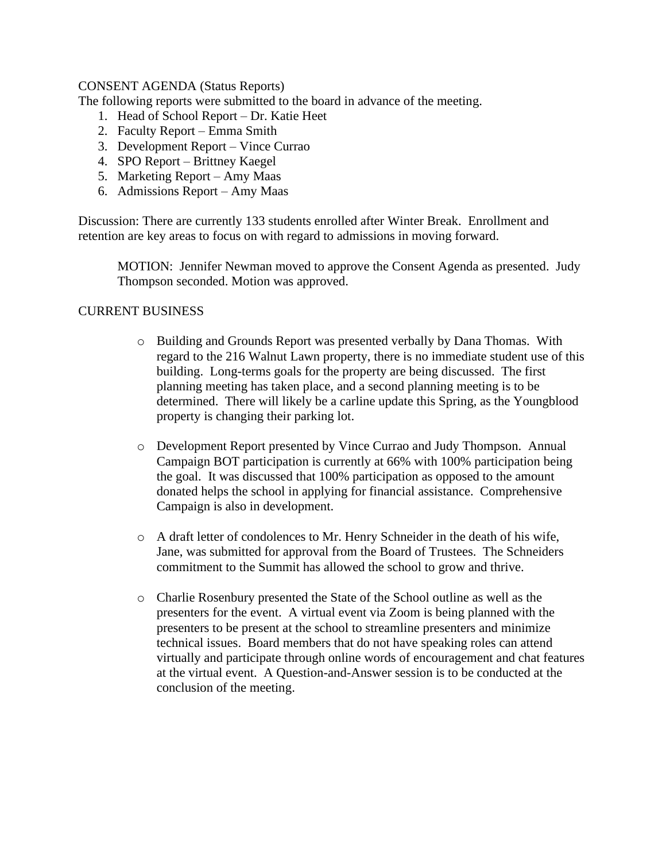## CONSENT AGENDA (Status Reports)

The following reports were submitted to the board in advance of the meeting.

- 1. Head of School Report Dr. Katie Heet
- 2. Faculty Report Emma Smith
- 3. Development Report Vince Currao
- 4. SPO Report Brittney Kaegel
- 5. Marketing Report Amy Maas
- 6. Admissions Report Amy Maas

Discussion: There are currently 133 students enrolled after Winter Break. Enrollment and retention are key areas to focus on with regard to admissions in moving forward.

MOTION: Jennifer Newman moved to approve the Consent Agenda as presented. Judy Thompson seconded. Motion was approved.

## CURRENT BUSINESS

- o Building and Grounds Report was presented verbally by Dana Thomas. With regard to the 216 Walnut Lawn property, there is no immediate student use of this building. Long-terms goals for the property are being discussed. The first planning meeting has taken place, and a second planning meeting is to be determined. There will likely be a carline update this Spring, as the Youngblood property is changing their parking lot.
- o Development Report presented by Vince Currao and Judy Thompson. Annual Campaign BOT participation is currently at 66% with 100% participation being the goal. It was discussed that 100% participation as opposed to the amount donated helps the school in applying for financial assistance. Comprehensive Campaign is also in development.
- o A draft letter of condolences to Mr. Henry Schneider in the death of his wife, Jane, was submitted for approval from the Board of Trustees. The Schneiders commitment to the Summit has allowed the school to grow and thrive.
- o Charlie Rosenbury presented the State of the School outline as well as the presenters for the event. A virtual event via Zoom is being planned with the presenters to be present at the school to streamline presenters and minimize technical issues. Board members that do not have speaking roles can attend virtually and participate through online words of encouragement and chat features at the virtual event. A Question-and-Answer session is to be conducted at the conclusion of the meeting.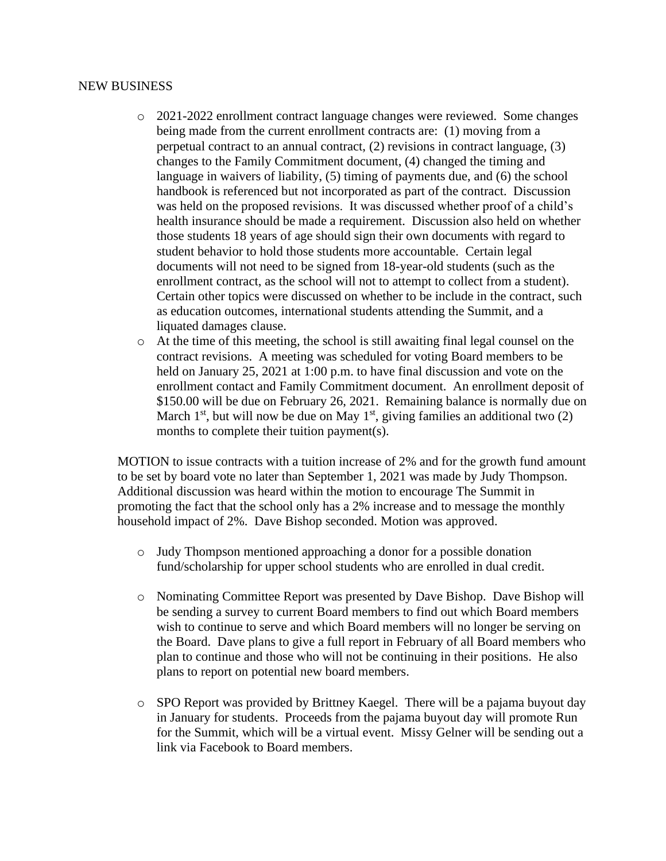### NEW BUSINESS

- o 2021-2022 enrollment contract language changes were reviewed. Some changes being made from the current enrollment contracts are: (1) moving from a perpetual contract to an annual contract, (2) revisions in contract language, (3) changes to the Family Commitment document, (4) changed the timing and language in waivers of liability, (5) timing of payments due, and (6) the school handbook is referenced but not incorporated as part of the contract. Discussion was held on the proposed revisions. It was discussed whether proof of a child's health insurance should be made a requirement. Discussion also held on whether those students 18 years of age should sign their own documents with regard to student behavior to hold those students more accountable. Certain legal documents will not need to be signed from 18-year-old students (such as the enrollment contract, as the school will not to attempt to collect from a student). Certain other topics were discussed on whether to be include in the contract, such as education outcomes, international students attending the Summit, and a liquated damages clause.
- o At the time of this meeting, the school is still awaiting final legal counsel on the contract revisions. A meeting was scheduled for voting Board members to be held on January 25, 2021 at 1:00 p.m. to have final discussion and vote on the enrollment contact and Family Commitment document. An enrollment deposit of \$150.00 will be due on February 26, 2021. Remaining balance is normally due on March  $1<sup>st</sup>$ , but will now be due on May  $1<sup>st</sup>$ , giving families an additional two (2) months to complete their tuition payment(s).

MOTION to issue contracts with a tuition increase of 2% and for the growth fund amount to be set by board vote no later than September 1, 2021 was made by Judy Thompson. Additional discussion was heard within the motion to encourage The Summit in promoting the fact that the school only has a 2% increase and to message the monthly household impact of 2%. Dave Bishop seconded. Motion was approved.

- o Judy Thompson mentioned approaching a donor for a possible donation fund/scholarship for upper school students who are enrolled in dual credit.
- o Nominating Committee Report was presented by Dave Bishop. Dave Bishop will be sending a survey to current Board members to find out which Board members wish to continue to serve and which Board members will no longer be serving on the Board. Dave plans to give a full report in February of all Board members who plan to continue and those who will not be continuing in their positions. He also plans to report on potential new board members.
- o SPO Report was provided by Brittney Kaegel. There will be a pajama buyout day in January for students. Proceeds from the pajama buyout day will promote Run for the Summit, which will be a virtual event. Missy Gelner will be sending out a link via Facebook to Board members.